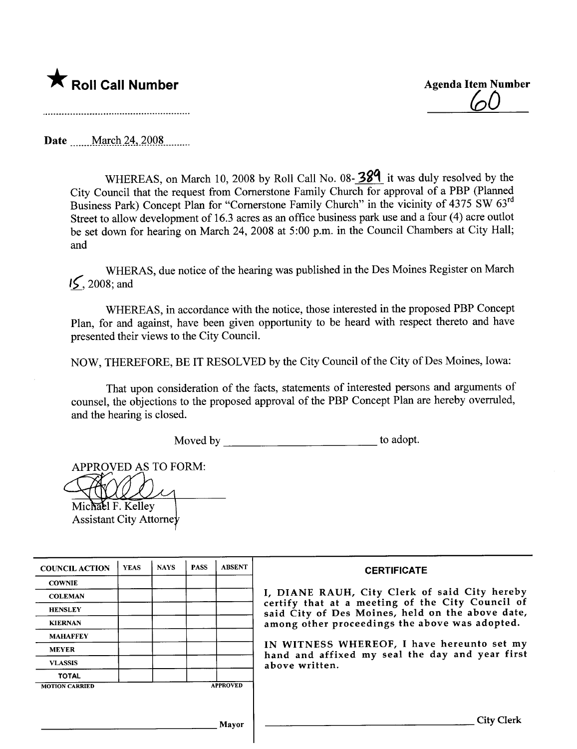

<u>(ol</u>

Date **March** 24, 2008

WHEREAS, on March 10, 2008 by Roll Call No. 08-  $38<sup>q</sup>$  it was duly resolved by the City Council that the request from Cornerstone Family Church for approval of a PBP (Planed Business Park) Concept Plan for "Cornerstone Family Church" in the vicinity of 4375 SW 63rd Street to allow development of 16.3 acres as an office business park use and a four (4) acre outlot be set down for hearing on March 24, 2008 at 5:00 p.m. in the Council Chambers at City Hall; and

WHERAS, due notice of the hearing was published in the Des Moines Register on March  $15, 2008$ ; and

WHEREAS, in accordance with the notice, those interested in the proposed PBP Concept Plan, for and against, have been given opportunity to be heard with respect thereto and have presented their views to the City CounciL.

NOW, THEREFORE, BE IT RESOLVED by the City Council of the City of Des Moines, Iowa:

That upon consideration of the facts, statements of interested persons and arguments of counsel, the objections to the proposed approval of the PBP Concept Plan are hereby overruled, and the hearing is closed.

Moved by to adopt.

APPROVED AS TO FORM:

Michael F. Kelley

Assistant City Attorne

| <b>COUNCIL ACTION</b> | <b>YEAS</b> | <b>NAYS</b> | <b>PASS</b> | <b>ABSENT</b>   | <b>CERTIFICATE</b>                                                                                |
|-----------------------|-------------|-------------|-------------|-----------------|---------------------------------------------------------------------------------------------------|
| <b>COWNIE</b>         |             |             |             |                 |                                                                                                   |
| <b>COLEMAN</b>        |             |             |             |                 | I, DIANE RAUH, City Clerk of said City hereby<br>certify that at a meeting of the City Council of |
| <b>HENSLEY</b>        |             |             |             |                 | said City of Des Moines, held on the above date,                                                  |
| <b>KIERNAN</b>        |             |             |             |                 | among other proceedings the above was adopted.                                                    |
| <b>MAHAFFEY</b>       |             |             |             |                 |                                                                                                   |
| <b>MEYER</b>          |             |             |             |                 | IN WITNESS WHEREOF, I have hereunto set my<br>hand and affixed my seal the day and year first     |
| <b>VLASSIS</b>        |             |             |             |                 | above written.                                                                                    |
| <b>TOTAL</b>          |             |             |             |                 |                                                                                                   |
| <b>MOTION CARRIED</b> |             |             |             | <b>APPROVED</b> |                                                                                                   |
|                       |             |             |             |                 |                                                                                                   |
|                       |             |             |             | Mavor           | <b>City Clerk</b>                                                                                 |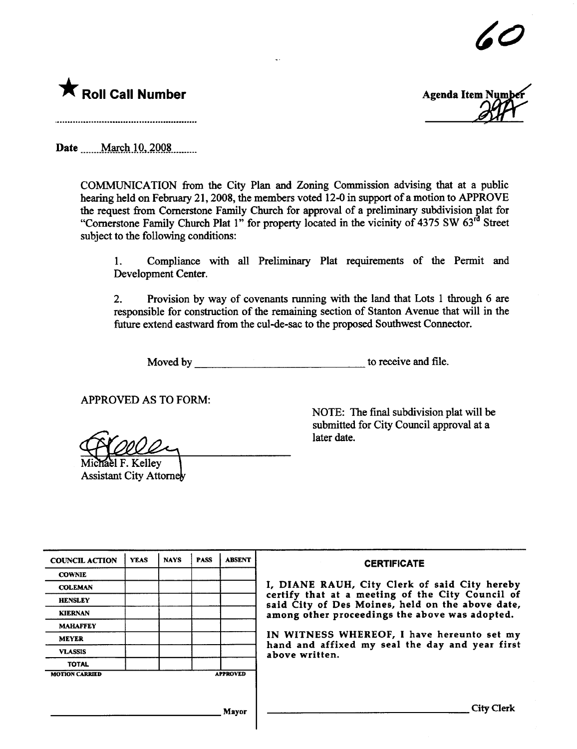



**Agenda Item Numb** 

Date ..\_m\_MarÇ.hJ.Q.\_~QQ~\_\_..\_\_\_\_\_

COMMUNICATION from the City Plan and Zoning Commission advising that at a public hearing held on February 21, 2008, the members voted 12-0 in support of a motion to APPROVE the request from Cornerstone Family Church for approval of a preliminary subdivision plat for "Cornerstone Family Church Plat 1" for property located in the vicinity of 4375 SW 63<sup>rd</sup> Street subject to the following conditions:

1. Compliance with all Preliminary Plat requirements of the Permit and Development Center.

2. Provision by way of covenants running with the land that Lots 1 through 6 are responsible for construction of the remaining section of Stanton Avenue that will in the future extend eastward from the cul-de-sac to the proposed Southwest Connector.

Moved by to receive and file.

APPROVED AS TO FORM:

ěl F. Kellev Assistant City Attorney

NOTE: The final subdivision plat will be submitted for City Council approval at a later date.

| <b>COUNCIL ACTION</b> | <b>YEAS</b> | <b>NAYS</b> | <b>PASS</b> | <b>ABSENT</b>   | <b>CERTIFICATE</b>                                                                                   |
|-----------------------|-------------|-------------|-------------|-----------------|------------------------------------------------------------------------------------------------------|
| <b>COWNIE</b>         |             |             |             |                 |                                                                                                      |
| <b>COLEMAN</b>        |             |             |             |                 | I, DIANE RAUH, City Clerk of said City hereby                                                        |
| <b>HENSLEY</b>        |             |             |             |                 | certify that at a meeting of the City Council of<br>said City of Des Moines, held on the above date, |
| <b>KIERNAN</b>        |             |             |             |                 | among other proceedings the above was adopted.                                                       |
| <b>MAHAFFEY</b>       |             |             |             |                 |                                                                                                      |
| <b>MEYER</b>          |             |             |             |                 | IN WITNESS WHEREOF, I have hereunto set my<br>hand and affixed my seal the day and year first        |
| <b>VLASSIS</b>        |             |             |             |                 | above written.                                                                                       |
| <b>TOTAL</b>          |             |             |             |                 |                                                                                                      |
| <b>MOTION CARRIED</b> |             |             |             | <b>APPROVED</b> |                                                                                                      |
|                       |             |             |             |                 |                                                                                                      |
|                       |             |             |             | Mayor           | <b>City Clerk</b>                                                                                    |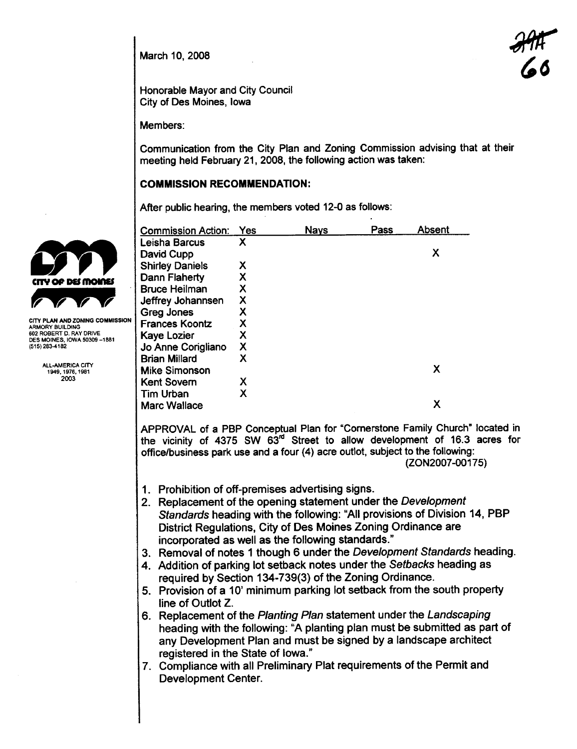March 10, 2008

**29#** '6

Honorable Mayor and City Council City of Des Moines, Iowa

Members:

Communication from the City Plan and Zoning Commission advising that at their meeting held February 21, 2008, the following action was taken:

## COMMISSION RECOMMENDATION:

After public hearing, the members voted 12-0 as follows:

|                                                    | <b>Commission Action:</b>                                                                                                                                                                                                                                | Yes                       | <b>Nays</b> | Pass | Absent                                                           |  |  |  |  |  |  |
|----------------------------------------------------|----------------------------------------------------------------------------------------------------------------------------------------------------------------------------------------------------------------------------------------------------------|---------------------------|-------------|------|------------------------------------------------------------------|--|--|--|--|--|--|
|                                                    | Leisha Barcus                                                                                                                                                                                                                                            | Χ                         |             |      |                                                                  |  |  |  |  |  |  |
|                                                    | David Cupp                                                                                                                                                                                                                                               |                           |             |      | X                                                                |  |  |  |  |  |  |
|                                                    | <b>Shirley Daniels</b>                                                                                                                                                                                                                                   | χ                         |             |      |                                                                  |  |  |  |  |  |  |
| tity op dei moinei                                 | Dann Flaherty                                                                                                                                                                                                                                            | Χ                         |             |      |                                                                  |  |  |  |  |  |  |
|                                                    | <b>Bruce Heilman</b>                                                                                                                                                                                                                                     | χ                         |             |      |                                                                  |  |  |  |  |  |  |
|                                                    | Jeffrey Johannsen                                                                                                                                                                                                                                        | $\boldsymbol{\mathsf{X}}$ |             |      |                                                                  |  |  |  |  |  |  |
|                                                    | Greg Jones                                                                                                                                                                                                                                               | Χ                         |             |      |                                                                  |  |  |  |  |  |  |
| CITY PLAN AND ZONING COMMISSION<br>ARMORY BUILDING | <b>Frances Koontz</b>                                                                                                                                                                                                                                    | X                         |             |      |                                                                  |  |  |  |  |  |  |
| 602 ROBERT D. RAY DRIVE                            | Kaye Lozier                                                                                                                                                                                                                                              | X                         |             |      |                                                                  |  |  |  |  |  |  |
| DES MOINES, IOWA 50309-1881<br>(515) 283-4182      | Jo Anne Corigliano                                                                                                                                                                                                                                       | X                         |             |      |                                                                  |  |  |  |  |  |  |
|                                                    | <b>Brian Millard</b>                                                                                                                                                                                                                                     | X                         |             |      |                                                                  |  |  |  |  |  |  |
| ALL-AMERICA CITY<br>1949, 1976, 1981               | <b>Mike Simonson</b>                                                                                                                                                                                                                                     |                           |             |      | X                                                                |  |  |  |  |  |  |
| 2003                                               | <b>Kent Sovern</b>                                                                                                                                                                                                                                       | Х                         |             |      |                                                                  |  |  |  |  |  |  |
|                                                    | <b>Tim Urban</b>                                                                                                                                                                                                                                         | X                         |             |      |                                                                  |  |  |  |  |  |  |
|                                                    | <b>Marc Wallace</b>                                                                                                                                                                                                                                      |                           |             |      | X                                                                |  |  |  |  |  |  |
|                                                    |                                                                                                                                                                                                                                                          |                           |             |      |                                                                  |  |  |  |  |  |  |
|                                                    | APPROVAL of a PBP Conceptual Plan for "Cornerstone Family Church" located in<br>the vicinity of 4375 SW 63 <sup>rd</sup> Street to allow development of 16.3 acres for<br>office/business park use and a four (4) acre outlot, subject to the following: |                           |             |      |                                                                  |  |  |  |  |  |  |
|                                                    |                                                                                                                                                                                                                                                          |                           |             |      | (ZON2007-00175)                                                  |  |  |  |  |  |  |
|                                                    | 1. Prohibition of off-premises advertising signs.                                                                                                                                                                                                        |                           |             |      |                                                                  |  |  |  |  |  |  |
|                                                    |                                                                                                                                                                                                                                                          |                           |             |      |                                                                  |  |  |  |  |  |  |
|                                                    | 2. Replacement of the opening statement under the Development                                                                                                                                                                                            |                           |             |      |                                                                  |  |  |  |  |  |  |
|                                                    | Standards heading with the following: "All provisions of Division 14, PBP<br>District Regulations, City of Des Moines Zoning Ordinance are                                                                                                               |                           |             |      |                                                                  |  |  |  |  |  |  |
|                                                    |                                                                                                                                                                                                                                                          |                           |             |      |                                                                  |  |  |  |  |  |  |
|                                                    | incorporated as well as the following standards."<br>3. Removal of notes 1 though 6 under the Development Standards heading.                                                                                                                             |                           |             |      |                                                                  |  |  |  |  |  |  |
|                                                    |                                                                                                                                                                                                                                                          |                           |             |      |                                                                  |  |  |  |  |  |  |
|                                                    | 4. Addition of parking lot setback notes under the Setbacks heading as                                                                                                                                                                                   |                           |             |      |                                                                  |  |  |  |  |  |  |
|                                                    | required by Section 134-739(3) of the Zoning Ordinance.                                                                                                                                                                                                  |                           |             |      |                                                                  |  |  |  |  |  |  |
|                                                    | 5. Provision of a 10' minimum parking lot setback from the south property                                                                                                                                                                                |                           |             |      |                                                                  |  |  |  |  |  |  |
|                                                    | line of Outlot Z.                                                                                                                                                                                                                                        |                           |             |      |                                                                  |  |  |  |  |  |  |
|                                                    | 6. Replacement of the Planting Plan statement under the Landscaping                                                                                                                                                                                      |                           |             |      |                                                                  |  |  |  |  |  |  |
|                                                    | heading with the following: "A planting plan must be submitted as part of                                                                                                                                                                                |                           |             |      |                                                                  |  |  |  |  |  |  |
|                                                    |                                                                                                                                                                                                                                                          |                           |             |      | any Development Plan and must be signed by a landscape architect |  |  |  |  |  |  |
|                                                    |                                                                                                                                                                                                                                                          |                           |             |      |                                                                  |  |  |  |  |  |  |
|                                                    | registered in the State of Iowa."                                                                                                                                                                                                                        |                           |             |      |                                                                  |  |  |  |  |  |  |
|                                                    | 7. Compliance with all Preliminary Plat requirements of the Permit and                                                                                                                                                                                   |                           |             |      |                                                                  |  |  |  |  |  |  |
|                                                    | <b>Development Center.</b>                                                                                                                                                                                                                               |                           |             |      |                                                                  |  |  |  |  |  |  |

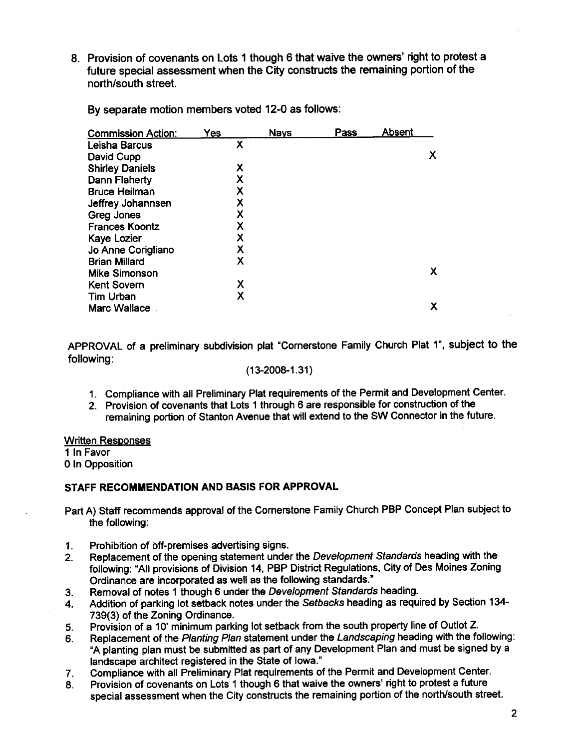8. Provision of covenants on Lots 1 though 6 that waive the owners' right to protest a future special assessment when the City constructs the remaining portion of the north/south street.

| <b>Commission Action:</b> | Yes | <b>Nays</b> | Pass | <b>Absent</b> |   |
|---------------------------|-----|-------------|------|---------------|---|
| Leisha Barcus             | Χ   |             |      |               |   |
| David Cupp                |     |             |      |               | х |
| <b>Shirley Daniels</b>    | Χ   |             |      |               |   |
| Dann Flaherty             | Χ   |             |      |               |   |
| <b>Bruce Heilman</b>      | X   |             |      |               |   |
| Jeffrey Johannsen         | Χ   |             |      |               |   |
| Greg Jones                | X   |             |      |               |   |
| <b>Frances Koontz</b>     | Χ   |             |      |               |   |
| <b>Kaye Lozier</b>        | Χ   |             |      |               |   |
| Jo Anne Corigliano        | Χ   |             |      |               |   |
| <b>Brian Millard</b>      | Χ   |             |      |               |   |
| <b>Mike Simonson</b>      |     |             |      |               | х |
| <b>Kent Sovern</b>        | X   |             |      |               |   |
| Tim Urban                 | Χ   |             |      |               |   |
| <b>Marc Wallace</b>       |     |             |      |               | х |

By separate motion members voted 12-0 as follows:

APPROVAL of a preliminary subdivision plat "Cornerstone Family Church Plat 1", subject to the following:

#### (13-2008-1.31)

- 1. Compliance with all Preliminary Plat requirements of the Permit and Development Center.
- 2. Provision of covenants that Lots 1 through 6 are responsible for construction of the remaining portion of Stanton Avenue that will extend to the SW Connector in the future.

#### Written Responses

1 In Favor

o In Opposition

#### STAFF RECOMMENDATION AND BASIS FOR APPROVAL

- Part A) Staff recommends approval of the Cornerstone Family Church PBP Concept Plan subject to the following:
- 1. Prohibition of off-premises advertising signs.
- 2. Replacement of the opening statement under the Development Standards heading with the following: "All provisions of Division 14, PBP District Regulations, City of Des Moines Zoning Ordinance are incorporated as well as the following standards."
- 3. Removal of notes 1 though 6 under the Development Standards heading.
- 4. Addition of parking lot setback notes under the Setbacks heading as required by Section 134- 739(3) of the Zoning Ordinance.
- 5. Provision of a 10' minimum parking lot setback from the south property line of Outlot Z.
- 6. Replacement of the Planting Plan statement under the Landscaping heading with the following: "A planting plan must be submitted as part of any Development Plan and must be signed by a landscape architect registered in the State of Iowa."
- 7. Compliance with all Preliminary Plat requirements of the Permit and Development Center.
- 8. Provision of covenants on Lots 1 though 6 that waive the owners' right to protest a future special assessment when the City constructs the remaining portion of the north/south street.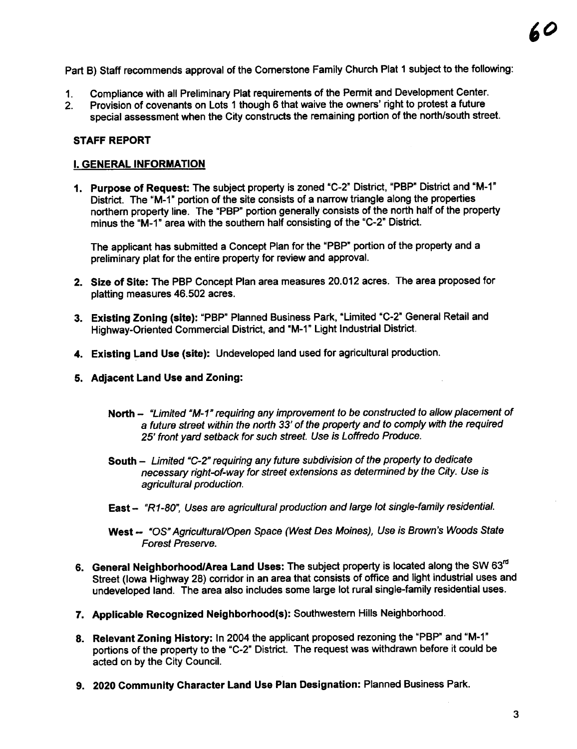Part B) Staff recommends approval of the Cornerstone Family Church Plat 1 subject to the following:

- 1. Compliance with all Preliminary Plat requirements of the Permit and Development Center.
- 2. Provision of covenants on Lots 1 though 6 that waive the owners' right to protest a future special assessment when the City constructs the remaining portion of the north/south street.

## STAFF REPORT

## I. GENERAL INFORMATION

1. Purpose of Request: The subject property is zoned "C-2" District, "PBP" District and "M-1" District. The "M-1" portion of the site consists of a narrow triangle along the properties northern property line. The "PBP" portion generally consists of the north half of the property minus the "M-1" area with the southern half consisting of the "C-2" District.

The applicant has submitted a Concept Plan for the "PBP" portion of the property and a preliminary plat for the entire property for review and approvaL.

- 2. Size of Site: The PBP Concept Plan area measures 20.012 acres. The area proposed for platting measures 46.502 acres.
- 3. Existing Zoning (site): "PBP" Planned Business Park, "Limited "C-2" General Retail and Highway-Oriented Commercial District, and "M-1" Light Industrial District.
- 4. Existing Land Use (site): Undeveloped land used for agricultural production.
- 5. Adjacent Land Use and Zoning:
	- North "Limited "M-1" requiring any improvement to be constructed to allow placement of a future street within the north 33' of the property and to comply with the required 25' front yard setback for such street. Use is Loffredo Produce.
	- South Limited "C-2" requiring any future subdivision of the property to dedicate necessary right-of-way for street extensions as determined by the City. Use is agricultural production.
	- East "R1-80", Uses are agricultural production and large lot single-family residential.
	- West -- "OS" Agricultural/Open Space (West Des Moines), Use is Brown's Woods State Forest Preserve.
- 6. General Neighborhood/Area Land Uses: The subject property is located along the SW 63<sup>rd</sup> Street (lowa Highway 28) corridor in an area that consists of office and light industrial uses and undeveloped land. The area also includes some large lot rural single-family residential uses.
- 7. Applicable Recognized Neighborhood(s): Southwestern Hils Neighborhood.
- 8. Relevant Zoning History: In 2004 the applicant proposed rezoning the "PBP" and "M-1" portions of the property to the "C-2" District. The request was withdrawn before it could be acted on by the City Council.
- 9. 2020 Community Character Land Use Plan Designation: Planned Business Park.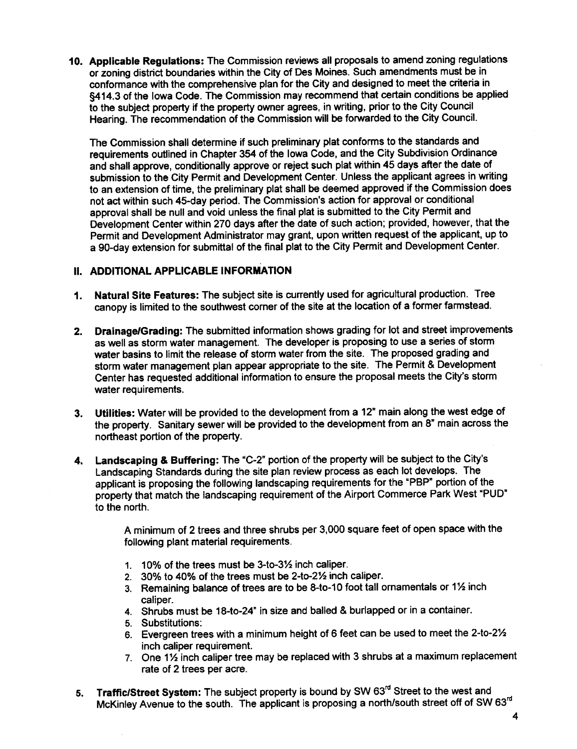10. Applicable Regulations: The Commission reviews all proposals to amend zoning regulations or zoning district boundaries within the City of Des Moines. Such amendments must be in conformance with the comprehensive plan for the City and designed to meet the crteria in §414.3 of the Iowa Code. The Commission may recommend that certain conditions be applied to the subject property if the property owner agrees, in writing, prior to the City Council Hearing. The recommendation of the Commission wil be forwarded to the City CounciL.

The Commission shall determine if such preliminary plat conforms to the standards and requirements outlined in Chapter 354 of the Iowa Code, and the City Subdivision Ordinance and shall approve, conditionally approve or reject such plat within 45 days after the date of submission to the City Permit and Development Center. Unless the applicant agrees in writing to an extension of time, the preliminary plat shall be deemed approved if the Commission does not act within such 45-day period. The Commission's action for approval or conditional approval shall be null and void unless the final plat is submitted to the City Permit and Development Center within 270 days after the date of such action; provided, however, that the Permit and Development Administrator may grant, upon written request of the applicant, up to a SO-day extension for submittal of the final plat to the City Permit and Development Center.

## II. ADDITIONAL APPLICABLE INFORMATION

- 1. Natural Site Features: The subject site is currently used for agricultural production. Tree canopy is limited to the southwest corner of the site at the location of a former farmstead.
- 2. Drainage/Grading: The submitted information shows grading for lot and street improvements as well as storm water management. The developer is proposing to use a series of storm water basins to limit the release of storm water from the site. The proposed grading and storm water management plan appear appropriate to the site. The Permit & Development Center has requested additional information to ensure the proposal meets the City's storm water requirements.
- 3. Utilties: Water wil be provided to the development from a 12" main along the west edge of the property. Sanitary sewer will be provided to the development from an 8" main across the northeast portion of the propert.
- 4. Landscaping & Buffering: The "C-2" portion of the property will be subject to the City's Landscaping Standards during the site plan review process as each lot develops. The applicant is proposing the following landscaping requirements for the "PBP" portion of the property that match the landscaping requirement of the Airport Commerce Park West "PUD" to the north.

A minimum of 2 trees and three shrubs per 3,000 square feet of open space with the following plant material requirements.

- 1.  $10\%$  of the trees must be 3-to-3 $\frac{1}{2}$  inch caliper.
- 2. 30% to 40% of the trees must be 2-to-2½ inch caliper.
- 3. Remaining balance of trees are to be 8-to-10 foot tall ornamentals or  $1\frac{1}{2}$  inch caliper.
- 4. Shrubs must be 18-to-24" in size and balled & burlapped or in a container.
- 5. Substitutions:
- 6. Evergreen trees with a minimum height of 6 feet can be used to meet the 2-to-2 $\frac{1}{2}$ inch caliper requirement.
- 7. One 1% inch caliper tree may be replaced with 3 shrubs at a maximum replacement rate of 2 trees per acre.
- 5. Traffic/Street System: The subject property is bound by SW 63<sup>rd</sup> Street to the west and McKinley Avenue to the south. The applicant is proposing a north/south street off of SW 63<sup>rd</sup>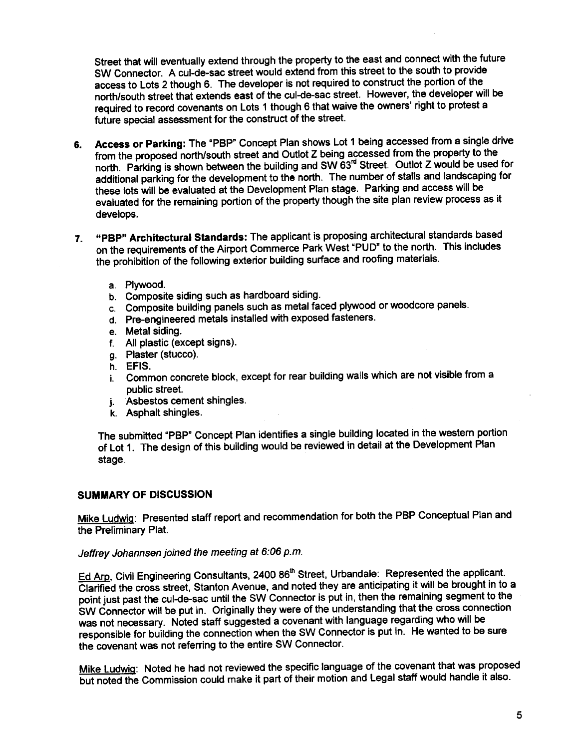Street that will eventually extend through the property to the east and connect with the future SW Connector. A cul-de-sac street would extend from this street to the south to provide access to Lots 2 though 6. The developer is not required to construct the portion of the north/south street that extends east of the cul-de-sac street. However, the developer will be required to record covenants on Lots 1 though 6 that waive the owners' right to protest a future special assessment for the construct of the street.

- 6. Access or Parking: The "PBP" Concept Plan shows Lot 1 being accessed from a single drive<br>from the proposed north/south street and Outlot Z being accessed from the property to the from the proposed north/south street and Outlot Z being accessed from the propert to the north. Parking is shown between the building and SW 63<sup> $\sim$ </sup> Street. Outlot Z would be used for additional parking for the development to the north. The number of stalls and landscaping for these lots will be evaluated at the Development Plan stage. Parking and access will be evaluated for the remaining portion of the property though the site plan review process as it develops.
- 7. "PBP" Architectural Standards: The applicant is proposing architectural standards based on the requirements of the Airport Commerce Park West "PUD" to the north. This includes the prohibition of the following extenor building surface and roofing materials.
	- a. Plywood.
	- b. Composite siding such as hardboard siding.
	- c. Composite building panels such as metal faced plywood or woodcore panels.
	- d. Pre-engineered metals installed with exposed fasteners.
	- e. Metal siding.
	- f. All plastic (except signs).
	- g. Plaster (stucco).
	- h. EFIS.
	- i. Common concrete block, except for rear building walls which are not visible from a public street.
	- j. "Asbestos cement shingles.
	- k. Asphalt shingles.

The submitted "PBP" Concept Plan identifies a single building located in the western portion of Lot 1. The design of this building would be reviewed in detail at the Development Plan stage.

#### SUMMARY OF DISCUSSION

Mike Ludwig: Presented staff report and recommendation for both the PBP Conceptual Plan and the Preliminary Plat.

## Jeffrey Johannsen joined the meeting at 6:06 p.m.

Ed Arp, Civil Engineering Consultants, 2400 86<sup>th</sup> Street, Urbandale: Represented the applicant. Clanfied the cross street, Stanton Avenue, and noted they are anticipating it wil be brought in to a point just past the cul-de-sac until the SW Connector is put in, then the remaining segment to the SW Connector wil be put in. Originally they were of the understanding that the cross connection was not necessary. Noted staff suggested a covenant with language regarding who wil be responsible for building the connection when the SW Connector is put in. He wanted to be sure the covenant was not referring to the entire SW Connector.

Mike Ludwig: Noted he had not reviewed the specific language of the covenant that was proposed but noted the Commission could make it part of their motion and Legal staff would handle it also.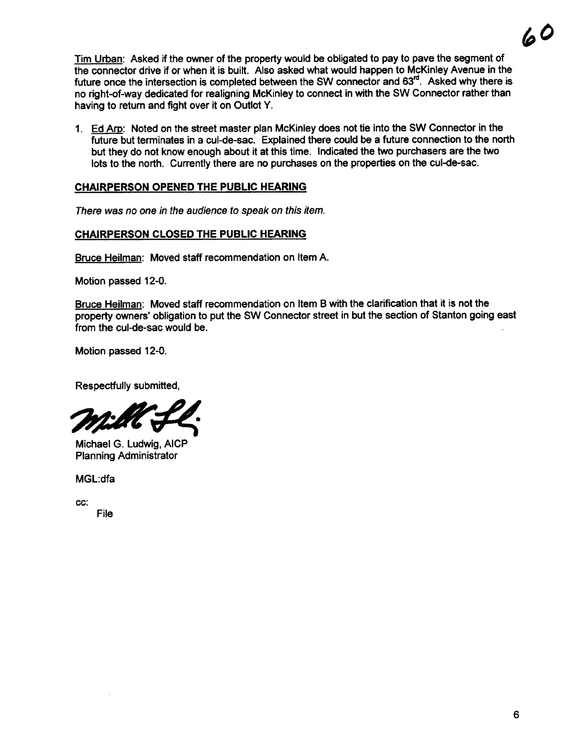Tim Urban: Asked if the owner of the property would be obligated to pay to pave the segment of the connector drive if or when it is built. Also asked what would happen to McKinley Avenue in the future once the intersection is completed between the SW connector and 63<sup>rd</sup>. Asked why there is no right-of-way dedicated for realigning McKinley to connect in with the SW Connector rather than having to return and fight over it on Outlot Y.

1. Ed Am: Noted on the street master plan McKinley does not tie into the SW Connector in the future but terminates in a cul-de-sac. Explained there could be a future connection to the north but they do not know enough about it at this time. Indicated the two purchasers are the two lots to the north. Currently there are no purchases on the properties on the cul-de-sac.

## CHAIRPERSON OPENED THE PUBLIC HEARING

There was no one in the audience to speak on this item.

## CHAIRPERSON CLOSED THE PUBLIC HEARING

Bruce Heilman: Moved staff recommendation on Item A.

Motion passed 12-0.

Bruce Heilman: Moved staff recommendation on Item B with the clarification that it is not the property owners' obligation to put the SW Connector street in but the section of Stanton going east from the cul-de-sac would be.

Motion passed 12-0.

Respectfully submitted,

Respectfully submitted,

Planning Administrator

MGL:dfa

cc:

File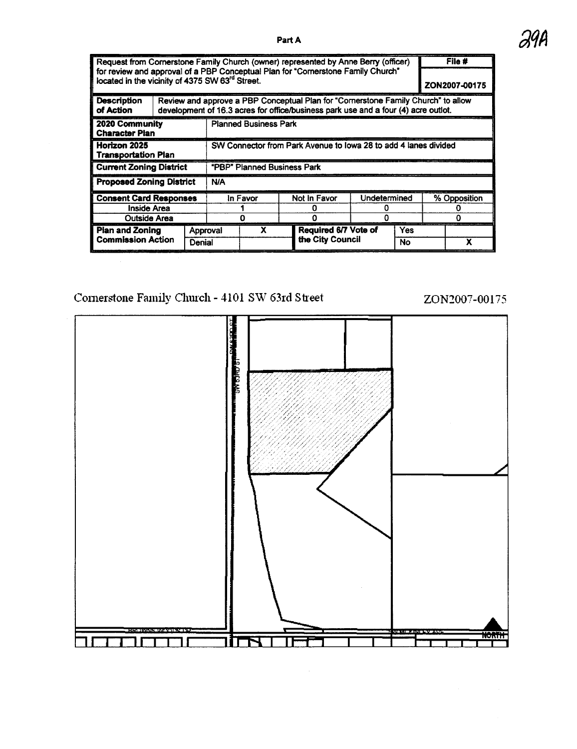| Request from Cornerstone Family Church (owner) represented by Anne Berry (officer)                                                              |                                    |                              |                                                                                                                                                                         |  |              |                      |              |     | File #        |   |  |
|-------------------------------------------------------------------------------------------------------------------------------------------------|------------------------------------|------------------------------|-------------------------------------------------------------------------------------------------------------------------------------------------------------------------|--|--------------|----------------------|--------------|-----|---------------|---|--|
| for review and approval of a PBP Conceptual Plan for "Cornerstone Family Church"<br>located in the vicinity of 4375 SW 63 <sup>rd</sup> Street. |                                    |                              |                                                                                                                                                                         |  |              |                      |              |     | ZON2007-00175 |   |  |
| <b>Description</b><br>of Action                                                                                                                 |                                    |                              | Review and approve a PBP Conceptual Plan for "Cornerstone Family Church" to allow<br>development of 16.3 acres for office/business park use and a four (4) acre outlot. |  |              |                      |              |     |               |   |  |
| 2020 Community<br><b>Character Pian</b>                                                                                                         |                                    | <b>Planned Business Park</b> |                                                                                                                                                                         |  |              |                      |              |     |               |   |  |
| Horizon 2025<br><b>Transportation Plan</b>                                                                                                      |                                    |                              | SW Connector from Park Avenue to Iowa 28 to add 4 lanes divided                                                                                                         |  |              |                      |              |     |               |   |  |
| <b>Current Zoning District</b>                                                                                                                  |                                    |                              | "PBP" Planned Business Park                                                                                                                                             |  |              |                      |              |     |               |   |  |
| <b>Proposed Zoning District</b>                                                                                                                 |                                    |                              | <b>N/A</b>                                                                                                                                                              |  |              |                      |              |     |               |   |  |
| <b>Consent Card Responses</b>                                                                                                                   |                                    |                              | In Favor                                                                                                                                                                |  | Not in Favor |                      | Undetermined |     | % Opposition  |   |  |
| Inside Area                                                                                                                                     |                                    |                              |                                                                                                                                                                         |  |              |                      |              |     |               |   |  |
| Outside Area                                                                                                                                    |                                    |                              |                                                                                                                                                                         |  |              |                      |              |     |               |   |  |
| <b>Pian and Zoning</b>                                                                                                                          |                                    |                              | x<br>Approval                                                                                                                                                           |  |              | Required 6/7 Vote of |              | Yes |               |   |  |
|                                                                                                                                                 | <b>Commission Action</b><br>Denial |                              |                                                                                                                                                                         |  |              | the City Council     |              | No  |               | x |  |

## Cornerstone Family Church - 4101 SW 63rd Street ZON2007-00175



Part A  $\partial$ 94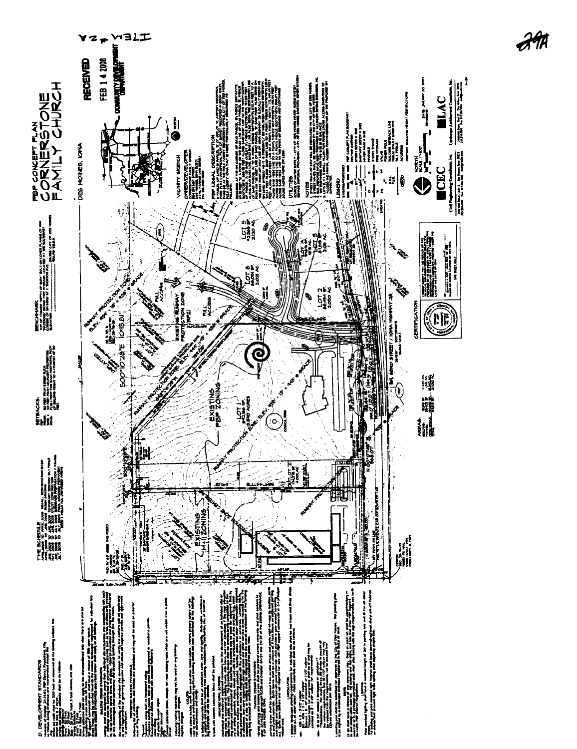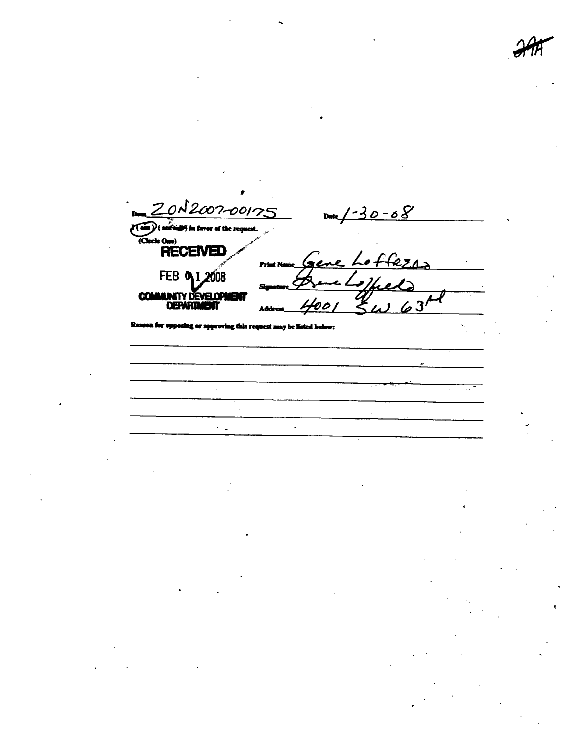$N2007 - 00175$  $0 - 08$  $\mathbf{D}$ Ka (Circle One)<br>RECEIVED وە PH. FEB 0 1 2008 **COMMUNITY DEVELOPMENT**  $63$ DEPART  $z_{\prime}$ W٦ 70 C  $\ddot{\phantom{a}}$ 

 $\ddot{\phantom{a}}$ 

er h this real nest s

 $\sim$   $\sim$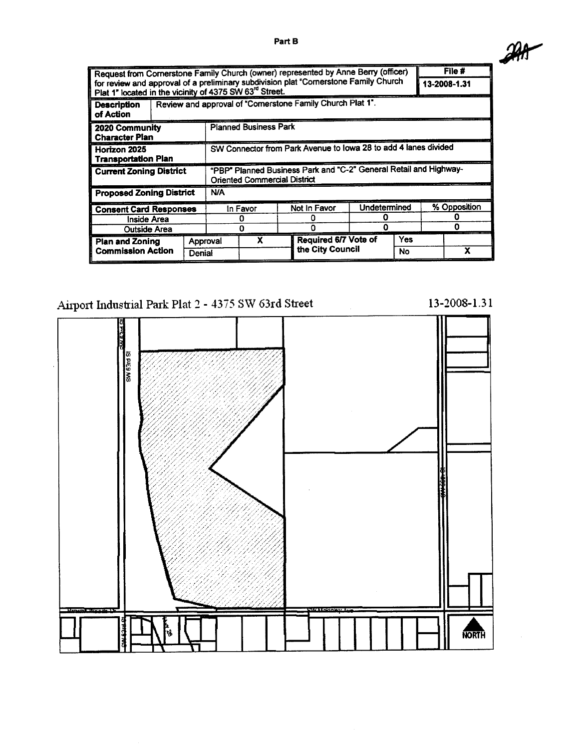| Request from Cornerstone Family Church (owner) represented by Anne Berry (officer)                                                              |                                                           |                                                                                                          |   |  |                             |              |     |              | File #       |  |
|-------------------------------------------------------------------------------------------------------------------------------------------------|-----------------------------------------------------------|----------------------------------------------------------------------------------------------------------|---|--|-----------------------------|--------------|-----|--------------|--------------|--|
| for review and approval of a preliminary subdivision plat "Cornerstone Family Church<br>Plat 1" located in the vicinity of 4375 SW 63rd Street. |                                                           |                                                                                                          |   |  |                             |              |     |              | 13-2008-1.31 |  |
| <b>Description</b><br>of Action                                                                                                                 | Review and approval of "Comerstone Family Church Plat 1". |                                                                                                          |   |  |                             |              |     |              |              |  |
| 2020 Community<br><b>Character Plan</b>                                                                                                         |                                                           | <b>Planned Business Park</b>                                                                             |   |  |                             |              |     |              |              |  |
| Horizon 2025<br><b>Transportation Plan</b>                                                                                                      |                                                           | SW Connector from Park Avenue to Iowa 28 to add 4 lanes divided                                          |   |  |                             |              |     |              |              |  |
| <b>Current Zoning District</b>                                                                                                                  |                                                           | "PBP" Planned Business Park and "C-2" General Retail and Highway-<br><b>Oriented Commercial District</b> |   |  |                             |              |     |              |              |  |
| <b>Proposed Zoning District</b>                                                                                                                 |                                                           | <b>N/A</b>                                                                                               |   |  |                             |              |     |              |              |  |
| <b>Consent Card Responses</b>                                                                                                                   |                                                           | In Favor                                                                                                 |   |  | Not In Favor                | Undetermined |     | % Opposition |              |  |
| Inside Area                                                                                                                                     |                                                           |                                                                                                          |   |  |                             |              |     |              |              |  |
| <b>Outside Area</b>                                                                                                                             | Ω                                                         |                                                                                                          |   |  |                             |              |     |              |              |  |
| <b>Plan and Zoning</b><br><b>Commission Action</b><br>Denial                                                                                    |                                                           | Approval                                                                                                 | x |  | <b>Required 6/7 Vote of</b> |              | Yes |              |              |  |
|                                                                                                                                                 |                                                           |                                                                                                          |   |  | the City Council            |              | No  |              | x            |  |

# Airport Industrial Park Plat 2 - 4375 SW 63rd Street

 $13 - 2008 - 1.31$